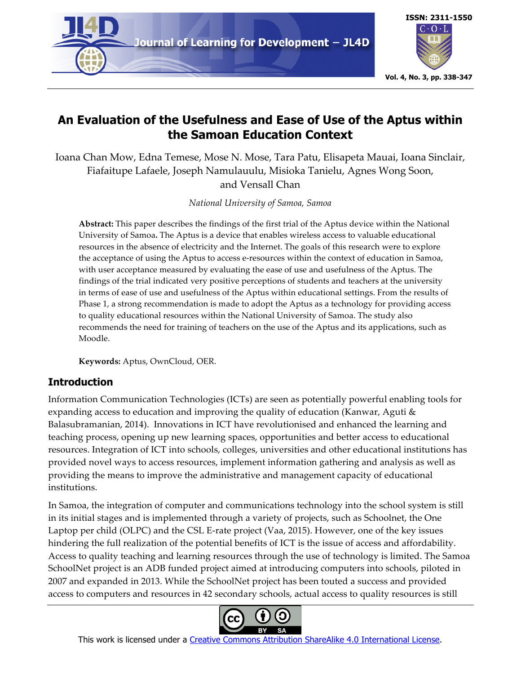

# **An Evaluation of the Usefulness and Ease of Use of the Aptus within the Samoan Education Context**

Ioana Chan Mow, Edna Temese, Mose N. Mose, Tara Patu, Elisapeta Mauai, Ioana Sinclair, Fiafaitupe Lafaele, Joseph Namulauulu, Misioka Tanielu, Agnes Wong Soon, and Vensall Chan

*National University of Samoa, Samoa*

**Abstract:** This paper describes the findings of the first trial of the Aptus device within the National University of Samoa**.** The Aptus is a device that enables wireless access to valuable educational resources in the absence of electricity and the Internet. The goals of this research were to explore the acceptance of using the Aptus to access e-resources within the context of education in Samoa, with user acceptance measured by evaluating the ease of use and usefulness of the Aptus. The findings of the trial indicated very positive perceptions of students and teachers at the university in terms of ease of use and usefulness of the Aptus within educational settings. From the results of Phase 1, a strong recommendation is made to adopt the Aptus as a technology for providing access to quality educational resources within the National University of Samoa. The study also recommends the need for training of teachers on the use of the Aptus and its applications, such as Moodle.

**Keywords:** Aptus, OwnCloud, OER.

## **Introduction**

Information Communication Technologies (ICTs) are seen as potentially powerful enabling tools for expanding access to education and improving the quality of education (Kanwar, Aguti & Balasubramanian, 2014). Innovations in ICT have revolutionised and enhanced the learning and teaching process, opening up new learning spaces, opportunities and better access to educational resources. Integration of ICT into schools, colleges, universities and other educational institutions has provided novel ways to access resources, implement information gathering and analysis as well as providing the means to improve the administrative and management capacity of educational institutions.

In Samoa, the integration of computer and communications technology into the school system is still in its initial stages and is implemented through a variety of projects, such as Schoolnet, the One Laptop per child (OLPC) and the CSL E-rate project (Vaa, 2015). However, one of the key issues hindering the full realization of the potential benefits of ICT is the issue of access and affordability. Access to quality teaching and learning resources through the use of technology is limited. The Samoa SchoolNet project is an ADB funded project aimed at introducing computers into schools, piloted in 2007 and expanded in 2013. While the SchoolNet project has been touted a success and provided access to computers and resources in 42 secondary schools, actual access to quality resources is still



This work is licensed under a Creative Commons Attribution ShareAlike 4.0 International License.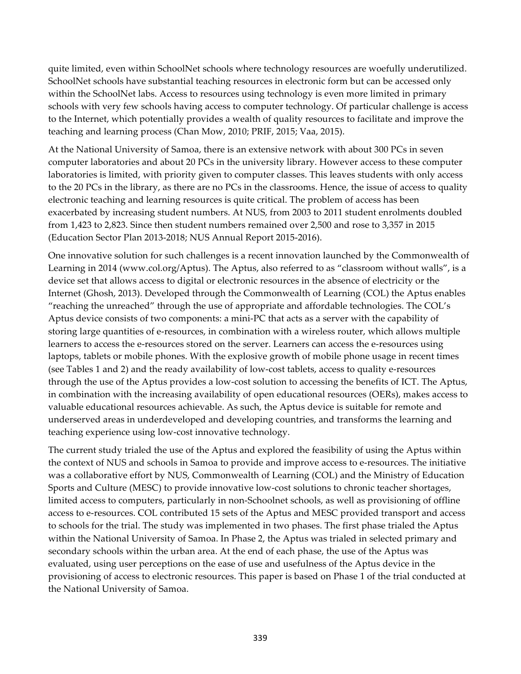quite limited, even within SchoolNet schools where technology resources are woefully underutilized. SchoolNet schools have substantial teaching resources in electronic form but can be accessed only within the SchoolNet labs. Access to resources using technology is even more limited in primary schools with very few schools having access to computer technology. Of particular challenge is access to the Internet, which potentially provides a wealth of quality resources to facilitate and improve the teaching and learning process (Chan Mow, 2010; PRIF, 2015; Vaa, 2015).

At the National University of Samoa, there is an extensive network with about 300 PCs in seven computer laboratories and about 20 PCs in the university library. However access to these computer laboratories is limited, with priority given to computer classes. This leaves students with only access to the 20 PCs in the library, as there are no PCs in the classrooms. Hence, the issue of access to quality electronic teaching and learning resources is quite critical. The problem of access has been exacerbated by increasing student numbers. At NUS, from 2003 to 2011 student enrolments doubled from 1,423 to 2,823. Since then student numbers remained over 2,500 and rose to 3,357 in 2015 (Education Sector Plan 2013-2018; NUS Annual Report 2015-2016).

One innovative solution for such challenges is a recent innovation launched by the Commonwealth of Learning in 2014 (www.col.org/Aptus). The Aptus, also referred to as "classroom without walls", is a device set that allows access to digital or electronic resources in the absence of electricity or the Internet (Ghosh, 2013). Developed through the Commonwealth of Learning (COL) the Aptus enables "reaching the unreached" through the use of appropriate and affordable technologies. The COL's Aptus device consists of two components: a mini-PC that acts as a server with the capability of storing large quantities of e-resources, in combination with a wireless router, which allows multiple learners to access the e-resources stored on the server. Learners can access the e-resources using laptops, tablets or mobile phones. With the explosive growth of mobile phone usage in recent times (see Tables 1 and 2) and the ready availability of low-cost tablets, access to quality e-resources through the use of the Aptus provides a low-cost solution to accessing the benefits of ICT. The Aptus, in combination with the increasing availability of open educational resources (OERs), makes access to valuable educational resources achievable. As such, the Aptus device is suitable for remote and underserved areas in underdeveloped and developing countries, and transforms the learning and teaching experience using low-cost innovative technology.

The current study trialed the use of the Aptus and explored the feasibility of using the Aptus within the context of NUS and schools in Samoa to provide and improve access to e-resources. The initiative was a collaborative effort by NUS, Commonwealth of Learning (COL) and the Ministry of Education Sports and Culture (MESC) to provide innovative low-cost solutions to chronic teacher shortages, limited access to computers, particularly in non-Schoolnet schools, as well as provisioning of offline access to e-resources. COL contributed 15 sets of the Aptus and MESC provided transport and access to schools for the trial. The study was implemented in two phases. The first phase trialed the Aptus within the National University of Samoa. In Phase 2, the Aptus was trialed in selected primary and secondary schools within the urban area. At the end of each phase, the use of the Aptus was evaluated, using user perceptions on the ease of use and usefulness of the Aptus device in the provisioning of access to electronic resources. This paper is based on Phase 1 of the trial conducted at the National University of Samoa.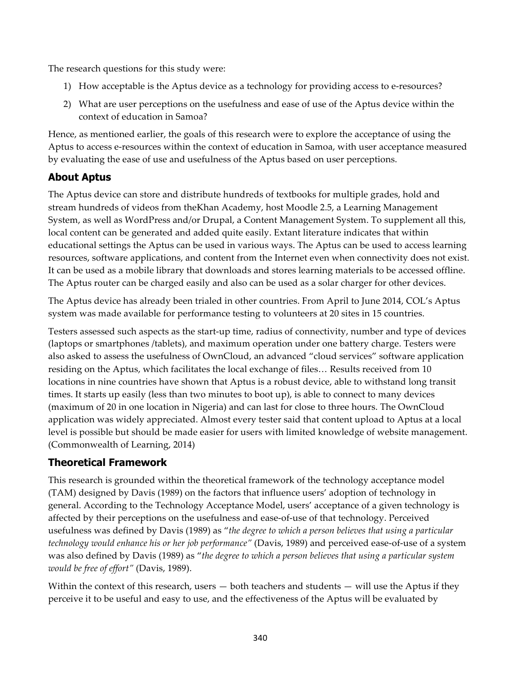The research questions for this study were:

- 1) How acceptable is the Aptus device as a technology for providing access to e-resources?
- 2) What are user perceptions on the usefulness and ease of use of the Aptus device within the context of education in Samoa?

Hence, as mentioned earlier, the goals of this research were to explore the acceptance of using the Aptus to access e-resources within the context of education in Samoa, with user acceptance measured by evaluating the ease of use and usefulness of the Aptus based on user perceptions.

## **About Aptus**

The Aptus device can store and distribute hundreds of textbooks for multiple grades, hold and stream hundreds of videos from theKhan Academy, host Moodle 2.5, a Learning Management System, as well as WordPress and/or Drupal, a Content Management System. To supplement all this, local content can be generated and added quite easily. Extant literature indicates that within educational settings the Aptus can be used in various ways. The Aptus can be used to access learning resources, software applications, and content from the Internet even when connectivity does not exist. It can be used as a mobile library that downloads and stores learning materials to be accessed offline. The Aptus router can be charged easily and also can be used as a solar charger for other devices.

The Aptus device has already been trialed in other countries. From April to June 2014, COL's Aptus system was made available for performance testing to volunteers at 20 sites in 15 countries.

Testers assessed such aspects as the start-up time, radius of connectivity, number and type of devices (laptops or smartphones /tablets), and maximum operation under one battery charge. Testers were also asked to assess the usefulness of OwnCloud, an advanced "cloud services" software application residing on the Aptus, which facilitates the local exchange of files… Results received from 10 locations in nine countries have shown that Aptus is a robust device, able to withstand long transit times. It starts up easily (less than two minutes to boot up), is able to connect to many devices (maximum of 20 in one location in Nigeria) and can last for close to three hours. The OwnCloud application was widely appreciated. Almost every tester said that content upload to Aptus at a local level is possible but should be made easier for users with limited knowledge of website management. (Commonwealth of Learning, 2014)

## **Theoretical Framework**

This research is grounded within the theoretical framework of the technology acceptance model (TAM) designed by Davis (1989) on the factors that influence users' adoption of technology in general. According to the Technology Acceptance Model, users' acceptance of a given technology is affected by their perceptions on the usefulness and ease-of-use of that technology. Perceived usefulness was defined by Davis (1989) as "*the degree to which a person believes that using a particular technology would enhance his or her job performance"* (Davis, 1989) and perceived ease-of-use of a system was also defined by Davis (1989) as "*the degree to which a person believes that using a particular system would be free of effort"* (Davis, 1989).

Within the context of this research, users  $-$  both teachers and students  $-$  will use the Aptus if they perceive it to be useful and easy to use, and the effectiveness of the Aptus will be evaluated by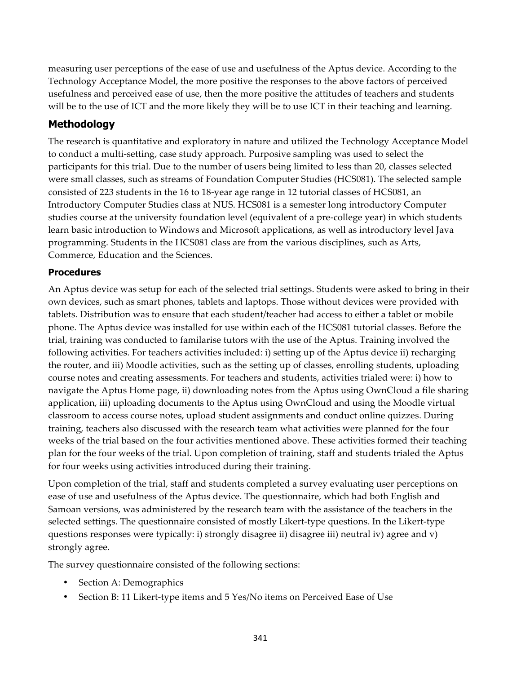measuring user perceptions of the ease of use and usefulness of the Aptus device. According to the Technology Acceptance Model, the more positive the responses to the above factors of perceived usefulness and perceived ease of use, then the more positive the attitudes of teachers and students will be to the use of ICT and the more likely they will be to use ICT in their teaching and learning.

## **Methodology**

The research is quantitative and exploratory in nature and utilized the Technology Acceptance Model to conduct a multi-setting, case study approach. Purposive sampling was used to select the participants for this trial. Due to the number of users being limited to less than 20, classes selected were small classes, such as streams of Foundation Computer Studies (HCS081). The selected sample consisted of 223 students in the 16 to 18-year age range in 12 tutorial classes of HCS081, an Introductory Computer Studies class at NUS. HCS081 is a semester long introductory Computer studies course at the university foundation level (equivalent of a pre-college year) in which students learn basic introduction to Windows and Microsoft applications, as well as introductory level Java programming. Students in the HCS081 class are from the various disciplines, such as Arts, Commerce, Education and the Sciences.

### **Procedures**

An Aptus device was setup for each of the selected trial settings. Students were asked to bring in their own devices, such as smart phones, tablets and laptops. Those without devices were provided with tablets. Distribution was to ensure that each student/teacher had access to either a tablet or mobile phone. The Aptus device was installed for use within each of the HCS081 tutorial classes. Before the trial, training was conducted to familarise tutors with the use of the Aptus. Training involved the following activities. For teachers activities included: i) setting up of the Aptus device ii) recharging the router, and iii) Moodle activities, such as the setting up of classes, enrolling students, uploading course notes and creating assessments. For teachers and students, activities trialed were: i) how to navigate the Aptus Home page, ii) downloading notes from the Aptus using OwnCloud a file sharing application, iii) uploading documents to the Aptus using OwnCloud and using the Moodle virtual classroom to access course notes, upload student assignments and conduct online quizzes. During training, teachers also discussed with the research team what activities were planned for the four weeks of the trial based on the four activities mentioned above. These activities formed their teaching plan for the four weeks of the trial. Upon completion of training, staff and students trialed the Aptus for four weeks using activities introduced during their training.

Upon completion of the trial, staff and students completed a survey evaluating user perceptions on ease of use and usefulness of the Aptus device. The questionnaire, which had both English and Samoan versions, was administered by the research team with the assistance of the teachers in the selected settings. The questionnaire consisted of mostly Likert-type questions. In the Likert-type questions responses were typically: i) strongly disagree ii) disagree iii) neutral iv) agree and v) strongly agree.

The survey questionnaire consisted of the following sections:

- Section A: Demographics
- Section B: 11 Likert-type items and 5 Yes/No items on Perceived Ease of Use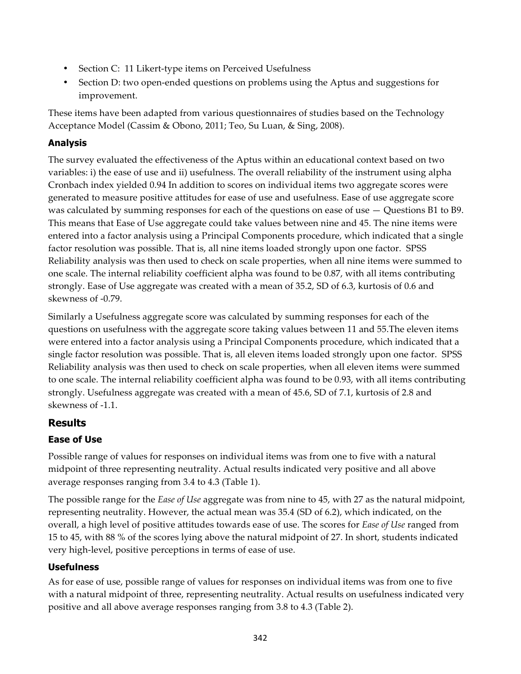- Section C: 11 Likert-type items on Perceived Usefulness
- Section D: two open-ended questions on problems using the Aptus and suggestions for improvement.

These items have been adapted from various questionnaires of studies based on the Technology Acceptance Model (Cassim & Obono, 2011; Teo, Su Luan, & Sing, 2008).

## **Analysis**

The survey evaluated the effectiveness of the Aptus within an educational context based on two variables: i) the ease of use and ii) usefulness. The overall reliability of the instrument using alpha Cronbach index yielded 0.94 In addition to scores on individual items two aggregate scores were generated to measure positive attitudes for ease of use and usefulness. Ease of use aggregate score was calculated by summing responses for each of the questions on ease of use — Questions B1 to B9. This means that Ease of Use aggregate could take values between nine and 45. The nine items were entered into a factor analysis using a Principal Components procedure, which indicated that a single factor resolution was possible. That is, all nine items loaded strongly upon one factor. SPSS Reliability analysis was then used to check on scale properties, when all nine items were summed to one scale. The internal reliability coefficient alpha was found to be 0.87, with all items contributing strongly. Ease of Use aggregate was created with a mean of 35.2, SD of 6.3, kurtosis of 0.6 and skewness of -0.79.

Similarly a Usefulness aggregate score was calculated by summing responses for each of the questions on usefulness with the aggregate score taking values between 11 and 55.The eleven items were entered into a factor analysis using a Principal Components procedure, which indicated that a single factor resolution was possible. That is, all eleven items loaded strongly upon one factor. SPSS Reliability analysis was then used to check on scale properties, when all eleven items were summed to one scale. The internal reliability coefficient alpha was found to be 0.93, with all items contributing strongly. Usefulness aggregate was created with a mean of 45.6, SD of 7.1, kurtosis of 2.8 and skewness of -1.1.

## **Results**

## **Ease of Use**

Possible range of values for responses on individual items was from one to five with a natural midpoint of three representing neutrality. Actual results indicated very positive and all above average responses ranging from 3.4 to 4.3 (Table 1).

The possible range for the *Ease of Use* aggregate was from nine to 45, with 27 as the natural midpoint, representing neutrality. However, the actual mean was 35.4 (SD of 6.2), which indicated, on the overall, a high level of positive attitudes towards ease of use. The scores for *Ease of Use* ranged from 15 to 45, with 88 % of the scores lying above the natural midpoint of 27. In short, students indicated very high-level, positive perceptions in terms of ease of use.

## **Usefulness**

As for ease of use, possible range of values for responses on individual items was from one to five with a natural midpoint of three, representing neutrality. Actual results on usefulness indicated very positive and all above average responses ranging from 3.8 to 4.3 (Table 2).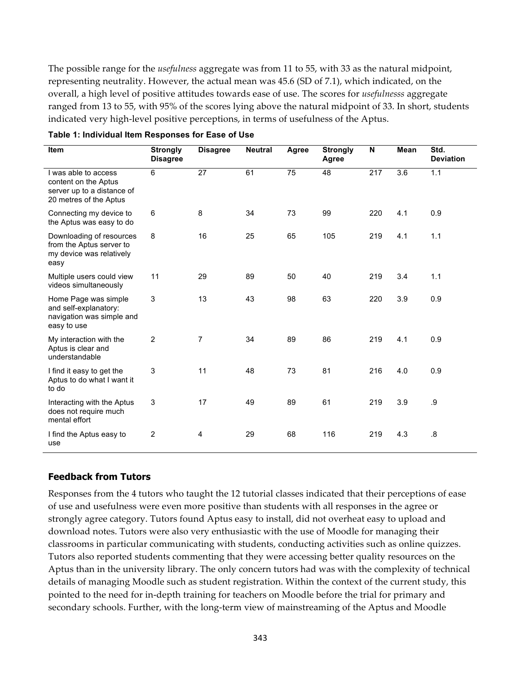The possible range for the *usefulness* aggregate was from 11 to 55, with 33 as the natural midpoint, representing neutrality. However, the actual mean was 45.6 (SD of 7.1), which indicated, on the overall, a high level of positive attitudes towards ease of use. The scores for *usefulnesss* aggregate ranged from 13 to 55, with 95% of the scores lying above the natural midpoint of 33. In short, students indicated very high-level positive perceptions, in terms of usefulness of the Aptus.

| Item                                                                                                 | <b>Strongly</b><br><b>Disagree</b> | <b>Disagree</b> | <b>Neutral</b> | Agree | <b>Strongly</b><br>Agree | N   | Mean | Std.<br><b>Deviation</b> |
|------------------------------------------------------------------------------------------------------|------------------------------------|-----------------|----------------|-------|--------------------------|-----|------|--------------------------|
| I was able to access<br>content on the Aptus<br>server up to a distance of<br>20 metres of the Aptus | 6                                  | 27              | 61             | 75    | 48                       | 217 | 3.6  | 1.1                      |
| Connecting my device to<br>the Aptus was easy to do                                                  | 6                                  | 8               | 34             | 73    | 99                       | 220 | 4.1  | 0.9                      |
| Downloading of resources<br>from the Aptus server to<br>my device was relatively<br>easy             | 8                                  | 16              | 25             | 65    | 105                      | 219 | 4.1  | 1.1                      |
| Multiple users could view<br>videos simultaneously                                                   | 11                                 | 29              | 89             | 50    | 40                       | 219 | 3.4  | 1.1                      |
| Home Page was simple<br>and self-explanatory:<br>navigation was simple and<br>easy to use            | 3                                  | 13              | 43             | 98    | 63                       | 220 | 3.9  | 0.9                      |
| My interaction with the<br>Aptus is clear and<br>understandable                                      | $\overline{2}$                     | $\overline{7}$  | 34             | 89    | 86                       | 219 | 4.1  | 0.9                      |
| I find it easy to get the<br>Aptus to do what I want it<br>to do                                     | 3                                  | 11              | 48             | 73    | 81                       | 216 | 4.0  | 0.9                      |
| Interacting with the Aptus<br>does not require much<br>mental effort                                 | 3                                  | 17              | 49             | 89    | 61                       | 219 | 3.9  | .9                       |
| I find the Aptus easy to<br>use                                                                      | 2                                  | 4               | 29             | 68    | 116                      | 219 | 4.3  | 8.5                      |

|  | Table 1: Individual Item Responses for Ease of Use |  |  |  |  |
|--|----------------------------------------------------|--|--|--|--|
|  |                                                    |  |  |  |  |

#### **Feedback from Tutors**

Responses from the 4 tutors who taught the 12 tutorial classes indicated that their perceptions of ease of use and usefulness were even more positive than students with all responses in the agree or strongly agree category. Tutors found Aptus easy to install, did not overheat easy to upload and download notes. Tutors were also very enthusiastic with the use of Moodle for managing their classrooms in particular communicating with students, conducting activities such as online quizzes. Tutors also reported students commenting that they were accessing better quality resources on the Aptus than in the university library. The only concern tutors had was with the complexity of technical details of managing Moodle such as student registration. Within the context of the current study, this pointed to the need for in-depth training for teachers on Moodle before the trial for primary and secondary schools. Further, with the long-term view of mainstreaming of the Aptus and Moodle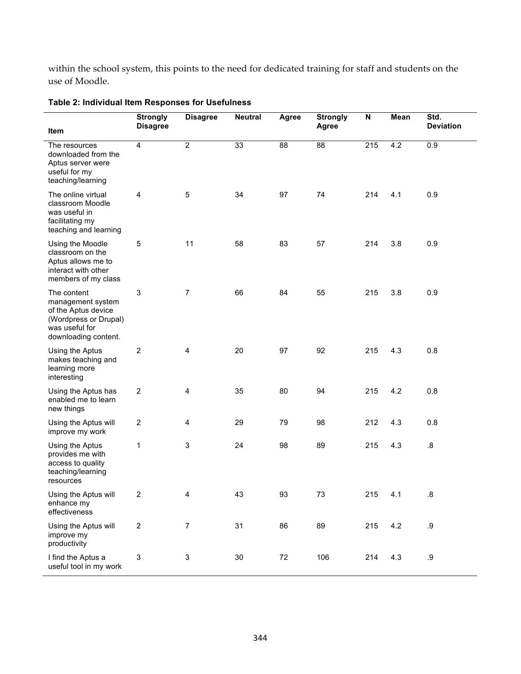within the school system, this points to the need for dedicated training for staff and students on the use of Moodle.

| Item                                                                                                                       | <b>Strongly</b><br><b>Disagree</b> | <b>Disagree</b>           | <b>Neutral</b> | Agree  | <b>Strongly</b><br>Agree | $\boldsymbol{\mathsf{N}}$ | Mean | Std.<br><b>Deviation</b> |
|----------------------------------------------------------------------------------------------------------------------------|------------------------------------|---------------------------|----------------|--------|--------------------------|---------------------------|------|--------------------------|
| The resources<br>downloaded from the<br>Aptus server were<br>useful for my<br>teaching/learning                            | $\overline{4}$                     | $\overline{2}$            | 33             | 88     | $\overline{88}$          | $\overline{215}$          | 4.2  | $\overline{0.9}$         |
| The online virtual<br>classroom Moodle<br>was useful in<br>facilitating my<br>teaching and learning                        | 4                                  | 5                         | 34             | 97     | 74                       | 214                       | 4.1  | 0.9                      |
| Using the Moodle<br>classroom on the<br>Aptus allows me to<br>interact with other<br>members of my class                   | 5                                  | 11                        | 58             | 83     | 57                       | 214                       | 3.8  | 0.9                      |
| The content<br>management system<br>of the Aptus device<br>(Wordpress or Drupal)<br>was useful for<br>downloading content. | $\mathbf 3$                        | $\overline{7}$            | 66             | 84     | 55                       | 215                       | 3.8  | 0.9                      |
| Using the Aptus<br>makes teaching and<br>learning more<br>interesting                                                      | $\overline{2}$                     | 4                         | 20             | 97     | 92                       | 215                       | 4.3  | 0.8                      |
| Using the Aptus has<br>enabled me to learn<br>new things                                                                   | $\overline{2}$                     | $\overline{\mathbf{4}}$   | 35             | 80     | 94                       | 215                       | 4.2  | 0.8                      |
| Using the Aptus will<br>improve my work                                                                                    | $\overline{2}$                     | 4                         | 29             | 79     | 98                       | 212                       | 4.3  | 0.8                      |
| Using the Aptus<br>provides me with<br>access to quality<br>teaching/learning<br>resources                                 | 1                                  | 3                         | 24             | 98     | 89                       | 215                       | 4.3  | 8.5                      |
| Using the Aptus will<br>enhance my<br>effectiveness                                                                        | 2                                  | 4                         | 43             | 93     | 73                       | 215                       | 4.1  | .8                       |
| Using the Aptus will<br>improve my<br>productivity                                                                         | $\overline{2}$                     | $\overline{7}$            | 31             | 86     | 89                       | 215                       | 4.2  | $9$                      |
| I find the Aptus a<br>useful tool in my work                                                                               | $\ensuremath{\mathsf{3}}$          | $\ensuremath{\mathsf{3}}$ | 30             | $72\,$ | 106                      | 214                       | 4.3  | $.9\,$                   |

### **Table 2: Individual Item Responses for Usefulness**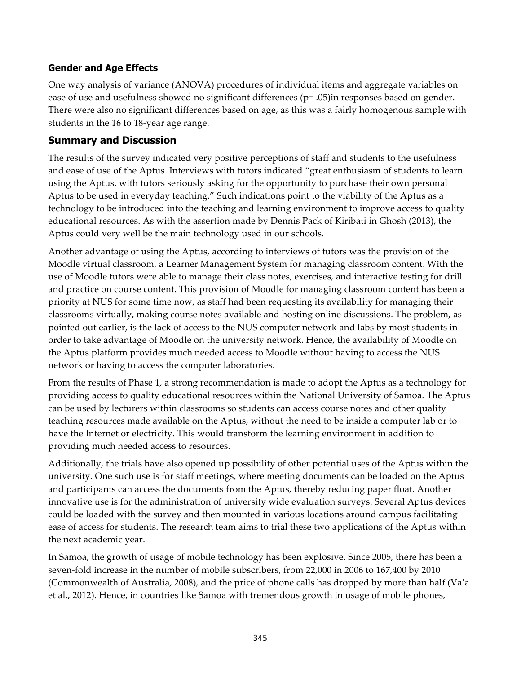### **Gender and Age Effects**

One way analysis of variance (ANOVA) procedures of individual items and aggregate variables on ease of use and usefulness showed no significant differences (p= .05)in responses based on gender. There were also no significant differences based on age, as this was a fairly homogenous sample with students in the 16 to 18-year age range.

## **Summary and Discussion**

The results of the survey indicated very positive perceptions of staff and students to the usefulness and ease of use of the Aptus. Interviews with tutors indicated "great enthusiasm of students to learn using the Aptus, with tutors seriously asking for the opportunity to purchase their own personal Aptus to be used in everyday teaching." Such indications point to the viability of the Aptus as a technology to be introduced into the teaching and learning environment to improve access to quality educational resources. As with the assertion made by Dennis Pack of Kiribati in Ghosh (2013), the Aptus could very well be the main technology used in our schools.

Another advantage of using the Aptus, according to interviews of tutors was the provision of the Moodle virtual classroom, a Learner Management System for managing classroom content. With the use of Moodle tutors were able to manage their class notes, exercises, and interactive testing for drill and practice on course content. This provision of Moodle for managing classroom content has been a priority at NUS for some time now, as staff had been requesting its availability for managing their classrooms virtually, making course notes available and hosting online discussions. The problem, as pointed out earlier, is the lack of access to the NUS computer network and labs by most students in order to take advantage of Moodle on the university network. Hence, the availability of Moodle on the Aptus platform provides much needed access to Moodle without having to access the NUS network or having to access the computer laboratories.

From the results of Phase 1, a strong recommendation is made to adopt the Aptus as a technology for providing access to quality educational resources within the National University of Samoa. The Aptus can be used by lecturers within classrooms so students can access course notes and other quality teaching resources made available on the Aptus, without the need to be inside a computer lab or to have the Internet or electricity. This would transform the learning environment in addition to providing much needed access to resources.

Additionally, the trials have also opened up possibility of other potential uses of the Aptus within the university. One such use is for staff meetings, where meeting documents can be loaded on the Aptus and participants can access the documents from the Aptus, thereby reducing paper float. Another innovative use is for the administration of university wide evaluation surveys. Several Aptus devices could be loaded with the survey and then mounted in various locations around campus facilitating ease of access for students. The research team aims to trial these two applications of the Aptus within the next academic year.

In Samoa, the growth of usage of mobile technology has been explosive. Since 2005, there has been a seven-fold increase in the number of mobile subscribers, from 22,000 in 2006 to 167,400 by 2010 (Commonwealth of Australia, 2008), and the price of phone calls has dropped by more than half (Va'a et al., 2012). Hence, in countries like Samoa with tremendous growth in usage of mobile phones,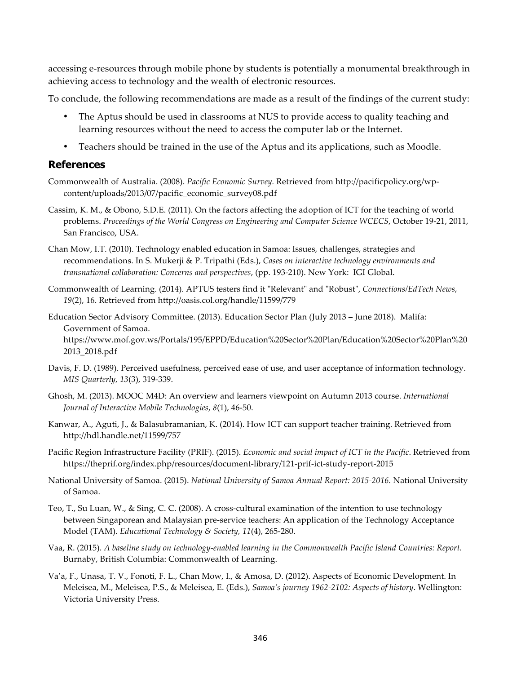accessing e-resources through mobile phone by students is potentially a monumental breakthrough in achieving access to technology and the wealth of electronic resources.

To conclude, the following recommendations are made as a result of the findings of the current study:

- The Aptus should be used in classrooms at NUS to provide access to quality teaching and learning resources without the need to access the computer lab or the Internet.
- Teachers should be trained in the use of the Aptus and its applications, such as Moodle.

#### **References**

- Commonwealth of Australia. (2008). *Pacific Economic Survey.* Retrieved from http://pacificpolicy.org/wpcontent/uploads/2013/07/pacific\_economic\_survey08.pdf
- Cassim, K. M., & Obono, S.D.E. (2011). On the factors affecting the adoption of ICT for the teaching of world problems. *Proceedings of the World Congress on Engineering and Computer Science WCECS*, October 19-21, 2011, San Francisco, USA.
- Chan Mow, I.T. (2010). Technology enabled education in Samoa: Issues, challenges, strategies and recommendations. In S. Mukerji & P. Tripathi (Eds.), *Cases on interactive technology environments and transnational collaboration: Concerns and perspectives*, (pp. 193-210). New York: IGI Global.
- Commonwealth of Learning. (2014). APTUS testers find it "Relevant" and "Robust", *Connections/EdTech News*, *19*(2), 16. Retrieved from http://oasis.col.org/handle/11599/779
- Education Sector Advisory Committee. (2013). Education Sector Plan (July 2013 June 2018). Malifa: Government of Samoa. https://www.mof.gov.ws/Portals/195/EPPD/Education%20Sector%20Plan/Education%20Sector%20Plan%20 2013\_2018.pdf
- Davis, F. D. (1989). Perceived usefulness, perceived ease of use, and user acceptance of information technology. *MIS Quarterly, 13*(3), 319-339.
- Ghosh, M. (2013). MOOC M4D: An overview and learners viewpoint on Autumn 2013 course. *International Journal of Interactive Mobile Technologies*, *8*(1), 46-50.
- Kanwar, A., Aguti, J., & Balasubramanian, K. (2014). How ICT can support teacher training. Retrieved from http://hdl.handle.net/11599/757
- Pacific Region Infrastructure Facility (PRIF). (2015). *Economic and social impact of ICT in the Pacific*. Retrieved from https://theprif.org/index.php/resources/document-library/121-prif-ict-study-report-2015
- National University of Samoa. (2015). *National University of Samoa Annual Report: 2015-2016.* National University of Samoa.
- Teo, T., Su Luan, W., & Sing, C. C. (2008). A cross-cultural examination of the intention to use technology between Singaporean and Malaysian pre-service teachers: An application of the Technology Acceptance Model (TAM). *Educational Technology & Society, 11*(4), 265-280.
- Vaa, R. (2015). *A baseline study on technology-enabled learning in the Commonwealth Pacific Island Countries: Report.* Burnaby, British Columbia: Commonwealth of Learning.
- Va'a, F., Unasa, T. V., Fonoti, F. L., Chan Mow, I., & Amosa, D. (2012). Aspects of Economic Development. In Meleisea, M., Meleisea, P.S., & Meleisea, E. (Eds.), *Samoa's journey 1962-2102: Aspects of history*. Wellington: Victoria University Press.